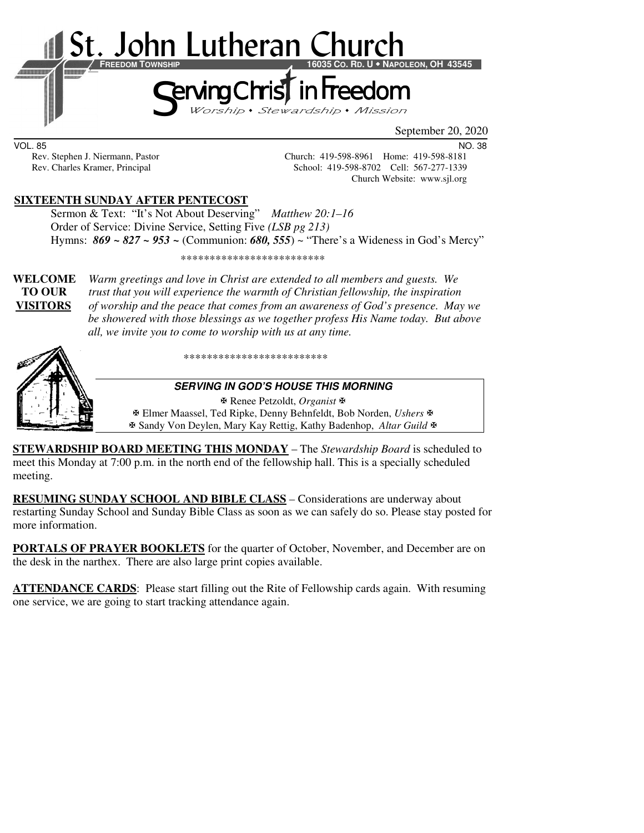

September 20, 2020

VOL. 85 NO. 38

Rev. Stephen J. Niermann, Pastor Church: 419-598-8961 Home: 419-598-8181<br>Rev. Charles Kramer, Principal School: 419-598-8702 Cell: 567-277-1339 School: 419-598-8702 Cell: 567-277-1339 Church Website: www.sjl.org

# **SIXTEENTH SUNDAY AFTER PENTECOST**

 Sermon & Text: "It's Not About Deserving" *Matthew 20:1–16* Order of Service: Divine Service, Setting Five *(LSB pg 213)* Hymns: *869 ~ 827 ~ 953 ~* (Communion: *680, 555*) ~ "There's a Wideness in God's Mercy"

\*\*\*\*\*\*\*\*\*\*\*\*\*\*\*\*\*\*\*\*\*\*\*\*\*

**WELCOME** *Warm greetings and love in Christ are extended to all members and guests. We* **TO OUR** *trust that you will experience the warmth of Christian fellowship, the inspiration*  **VISITORS** *of worship and the peace that comes from an awareness of God's presence. May we be showered with those blessings as we together profess His Name today. But above all, we invite you to come to worship with us at any time.* 



\*\*\*\*\*\*\*\*\*\*\*\*\*\*\*\*\*\*\*\*\*\*\*\*\*

#### **SERVING IN GOD'S HOUSE THIS MORNING**

Renee Petzoldt, *Organist*

 Elmer Maassel, Ted Ripke, Denny Behnfeldt, Bob Norden, *Ushers* Sandy Von Deylen, Mary Kay Rettig, Kathy Badenhop, *Altar Guild*

**STEWARDSHIP BOARD MEETING THIS MONDAY** – The *Stewardship Board* is scheduled to meet this Monday at 7:00 p.m. in the north end of the fellowship hall. This is a specially scheduled meeting.

**RESUMING SUNDAY SCHOOL AND BIBLE CLASS** *–* Considerations are underway about restarting Sunday School and Sunday Bible Class as soon as we can safely do so. Please stay posted for more information.

**PORTALS OF PRAYER BOOKLETS** for the quarter of October, November, and December are on the desk in the narthex. There are also large print copies available.

**ATTENDANCE CARDS**: Please start filling out the Rite of Fellowship cards again. With resuming one service, we are going to start tracking attendance again.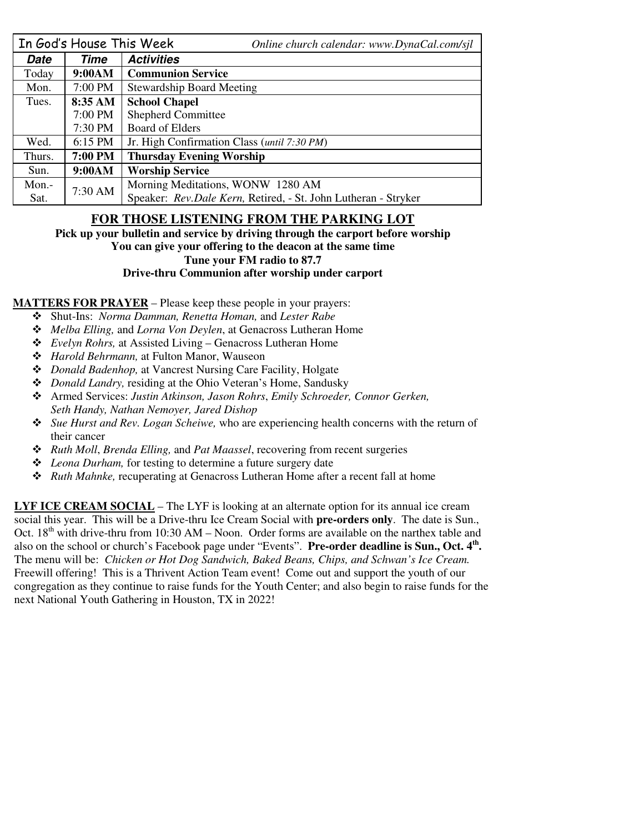|        | In God's House This Week | Online church calendar: www.DynaCal.com/sjl                    |  |  |
|--------|--------------------------|----------------------------------------------------------------|--|--|
| Date   | Time                     | <b>Activities</b>                                              |  |  |
| Today  | 9:00AM                   | <b>Communion Service</b>                                       |  |  |
| Mon.   | 7:00 PM                  | <b>Stewardship Board Meeting</b>                               |  |  |
| Tues.  | 8:35 AM                  | <b>School Chapel</b>                                           |  |  |
|        | 7:00 PM                  | <b>Shepherd Committee</b>                                      |  |  |
|        | 7:30 PM                  | <b>Board of Elders</b>                                         |  |  |
| Wed.   | $6:15$ PM                | Jr. High Confirmation Class ( <i>until 7:30 PM</i> )           |  |  |
| Thurs. | 7:00 PM                  | <b>Thursday Evening Worship</b>                                |  |  |
| Sun.   | 9:00AM                   | <b>Worship Service</b>                                         |  |  |
| Mon.-  | 7:30 AM                  | Morning Meditations, WONW 1280 AM                              |  |  |
| Sat.   |                          | Speaker: Rev.Dale Kern, Retired, - St. John Lutheran - Stryker |  |  |

# **FOR THOSE LISTENING FROM THE PARKING LOT**

**Pick up your bulletin and service by driving through the carport before worship You can give your offering to the deacon at the same time** 

# **Tune your FM radio to 87.7**

#### **Drive-thru Communion after worship under carport**

**MATTERS FOR PRAYER** – Please keep these people in your prayers:

- Shut-Ins: *Norma Damman, Renetta Homan,* and *Lester Rabe*
- *Melba Elling,* and *Lorna Von Deylen*, at Genacross Lutheran Home
- *Evelyn Rohrs,* at Assisted Living Genacross Lutheran Home
- *Harold Behrmann,* at Fulton Manor, Wauseon
- *Donald Badenhop,* at Vancrest Nursing Care Facility, Holgate
- *Donald Landry,* residing at the Ohio Veteran's Home, Sandusky
- Armed Services: *Justin Atkinson, Jason Rohrs*, *Emily Schroeder, Connor Gerken, Seth Handy, Nathan Nemoyer, Jared Dishop*
- *Sue Hurst and Rev. Logan Scheiwe,* who are experiencing health concerns with the return of their cancer
- *Ruth Moll*, *Brenda Elling,* and *Pat Maassel*, recovering from recent surgeries
- *Leona Durham,* for testing to determine a future surgery date
- *Ruth Mahnke,* recuperating at Genacross Lutheran Home after a recent fall at home

**LYF ICE CREAM SOCIAL** – The LYF is looking at an alternate option for its annual ice cream social this year. This will be a Drive-thru Ice Cream Social with **pre-orders only**. The date is Sun., Oct.  $18<sup>th</sup>$  with drive-thru from 10:30 AM – Noon. Order forms are available on the narthex table and also on the school or church's Facebook page under "Events". **Pre-order deadline is Sun., Oct. 4th .** The menu will be: *Chicken or Hot Dog Sandwich, Baked Beans, Chips, and Schwan's Ice Cream.* Freewill offering! This is a Thrivent Action Team event! Come out and support the youth of our congregation as they continue to raise funds for the Youth Center; and also begin to raise funds for the next National Youth Gathering in Houston, TX in 2022!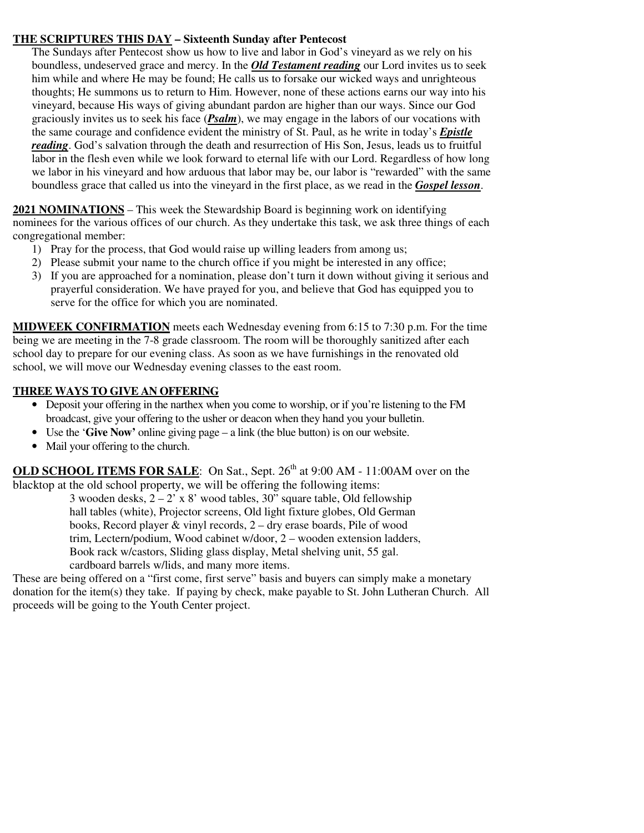### **THE SCRIPTURES THIS DAY – Sixteenth Sunday after Pentecost**

The Sundays after Pentecost show us how to live and labor in God's vineyard as we rely on his boundless, undeserved grace and mercy. In the *Old Testament reading* our Lord invites us to seek him while and where He may be found; He calls us to forsake our wicked ways and unrighteous thoughts; He summons us to return to Him. However, none of these actions earns our way into his vineyard, because His ways of giving abundant pardon are higher than our ways. Since our God graciously invites us to seek his face (*Psalm*), we may engage in the labors of our vocations with the same courage and confidence evident the ministry of St. Paul, as he write in today's *Epistle reading*. God's salvation through the death and resurrection of His Son, Jesus, leads us to fruitful labor in the flesh even while we look forward to eternal life with our Lord. Regardless of how long we labor in his vineyard and how arduous that labor may be, our labor is "rewarded" with the same boundless grace that called us into the vineyard in the first place, as we read in the *Gospel lesson*.

**2021 NOMINATIONS** – This week the Stewardship Board is beginning work on identifying nominees for the various offices of our church. As they undertake this task, we ask three things of each congregational member:

- 1) Pray for the process, that God would raise up willing leaders from among us;
- 2) Please submit your name to the church office if you might be interested in any office;
- 3) If you are approached for a nomination, please don't turn it down without giving it serious and prayerful consideration. We have prayed for you, and believe that God has equipped you to serve for the office for which you are nominated.

**MIDWEEK CONFIRMATION** meets each Wednesday evening from 6:15 to 7:30 p.m. For the time being we are meeting in the 7-8 grade classroom. The room will be thoroughly sanitized after each school day to prepare for our evening class. As soon as we have furnishings in the renovated old school, we will move our Wednesday evening classes to the east room.

### **THREE WAYS TO GIVE AN OFFERING**

- Deposit your offering in the narthex when you come to worship, or if you're listening to the FM broadcast, give your offering to the usher or deacon when they hand you your bulletin.
- Use the '**Give Now'** online giving page a link (the blue button) is on our website.
- Mail your offering to the church.

**OLD SCHOOL ITEMS FOR SALE:** On Sat., Sept. 26<sup>th</sup> at 9:00 AM - 11:00AM over on the blacktop at the old school property, we will be offering the following items:

3 wooden desks,  $2 - 2^{7} \times 8'$  wood tables, 30<sup>"</sup> square table. Old fellowship hall tables (white), Projector screens, Old light fixture globes, Old German books, Record player & vinyl records, 2 – dry erase boards, Pile of wood trim, Lectern/podium, Wood cabinet w/door, 2 – wooden extension ladders, Book rack w/castors, Sliding glass display, Metal shelving unit, 55 gal. cardboard barrels w/lids, and many more items.

These are being offered on a "first come, first serve" basis and buyers can simply make a monetary donation for the item(s) they take. If paying by check, make payable to St. John Lutheran Church. All proceeds will be going to the Youth Center project.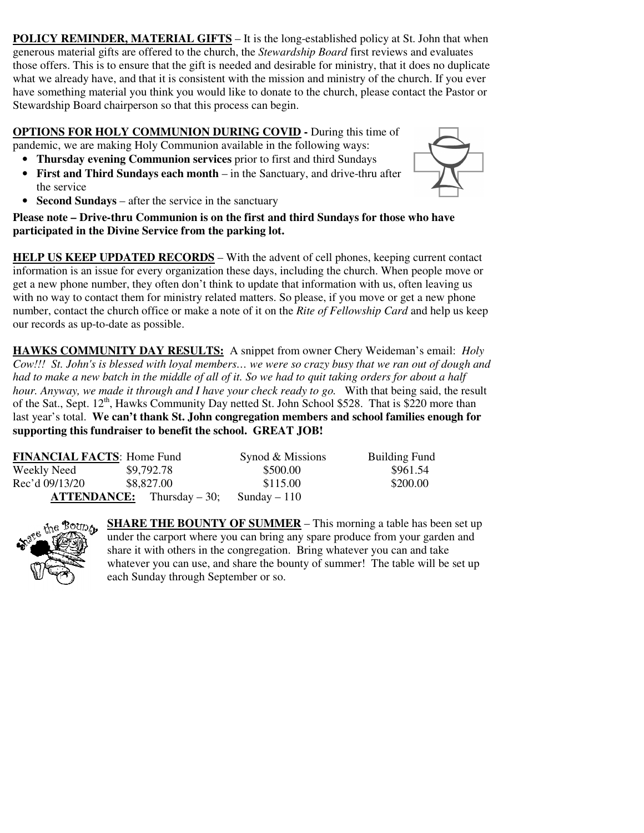**POLICY REMINDER, MATERIAL GIFTS** – It is the long-established policy at St. John that when generous material gifts are offered to the church, the *Stewardship Board* first reviews and evaluates those offers. This is to ensure that the gift is needed and desirable for ministry, that it does no duplicate what we already have, and that it is consistent with the mission and ministry of the church. If you ever have something material you think you would like to donate to the church, please contact the Pastor or Stewardship Board chairperson so that this process can begin.

**OPTIONS FOR HOLY COMMUNION DURING COVID -** During this time of pandemic, we are making Holy Communion available in the following ways:

- **Thursday evening Communion services** prior to first and third Sundays
- **First and Third Sundays each month** in the Sanctuary, and drive-thru after the service
- **Second Sundays** after the service in the sanctuary



**HELP US KEEP UPDATED RECORDS** – With the advent of cell phones, keeping current contact information is an issue for every organization these days, including the church. When people move or get a new phone number, they often don't think to update that information with us, often leaving us with no way to contact them for ministry related matters. So please, if you move or get a new phone number, contact the church office or make a note of it on the *Rite of Fellowship Card* and help us keep our records as up-to-date as possible.

**HAWKS COMMUNITY DAY RESULTS:** A snippet from owner Chery Weideman's email: *Holy Cow!!! St. John's is blessed with loyal members… we were so crazy busy that we ran out of dough and had to make a new batch in the middle of all of it. So we had to quit taking orders for about a half hour. Anyway, we made it through and I have your check ready to go.* With that being said, the result of the Sat., Sept.  $12^{th}$ , Hawks Community Day netted St. John School \$528. That is \$220 more than last year's total. **We can't thank St. John congregation members and school families enough for supporting this fundraiser to benefit the school. GREAT JOB!** 

| <b>FINANCIAL FACTS: Home Fund</b> |                                     | Synod & Missions | <b>Building Fund</b> |
|-----------------------------------|-------------------------------------|------------------|----------------------|
| Weekly Need                       | \$9,792.78                          | \$500.00         | \$961.54             |
| Rec'd 09/13/20                    | \$8,827.00                          | \$115.00         | \$200.00             |
|                                   | <b>ATTENDANCE:</b> Thursday $-30$ ; | Sunday $-110$    |                      |



**SHARE THE BOUNTY OF SUMMER** – This morning a table has been set up under the carport where you can bring any spare produce from your garden and share it with others in the congregation. Bring whatever you can and take whatever you can use, and share the bounty of summer! The table will be set up each Sunday through September or so.

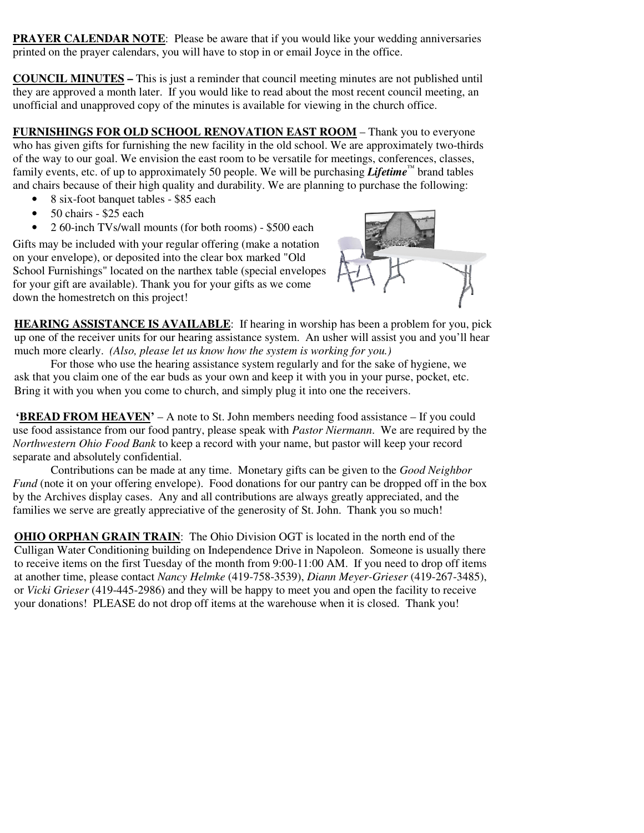**PRAYER CALENDAR NOTE:** Please be aware that if you would like your wedding anniversaries printed on the prayer calendars, you will have to stop in or email Joyce in the office.

**COUNCIL MINUTES –** This is just a reminder that council meeting minutes are not published until they are approved a month later. If you would like to read about the most recent council meeting, an unofficial and unapproved copy of the minutes is available for viewing in the church office.

**FURNISHINGS FOR OLD SCHOOL RENOVATION EAST ROOM** – Thank you to everyone who has given gifts for furnishing the new facility in the old school. We are approximately two-thirds of the way to our goal. We envision the east room to be versatile for meetings, conferences, classes, family events, etc. of up to approximately 50 people. We will be purchasing *Lifetime™* brand tables and chairs because of their high quality and durability. We are planning to purchase the following:

- 8 six-foot banquet tables \$85 each
- 50 chairs \$25 each
- 2 60-inch TVs/wall mounts (for both rooms) \$500 each

Gifts may be included with your regular offering (make a notation on your envelope), or deposited into the clear box marked "Old School Furnishings" located on the narthex table (special envelopes for your gift are available). Thank you for your gifts as we come down the homestretch on this project!



**HEARING ASSISTANCE IS AVAILABLE**: If hearing in worship has been a problem for you, pick up one of the receiver units for our hearing assistance system. An usher will assist you and you'll hear much more clearly. *(Also, please let us know how the system is working for you.)* 

For those who use the hearing assistance system regularly and for the sake of hygiene, we ask that you claim one of the ear buds as your own and keep it with you in your purse, pocket, etc. Bring it with you when you come to church, and simply plug it into one the receivers.

**'BREAD FROM HEAVEN'** – A note to St. John members needing food assistance – If you could use food assistance from our food pantry, please speak with *Pastor Niermann*. We are required by the *Northwestern Ohio Food Bank* to keep a record with your name, but pastor will keep your record separate and absolutely confidential.

Contributions can be made at any time. Monetary gifts can be given to the *Good Neighbor Fund* (note it on your offering envelope). Food donations for our pantry can be dropped off in the box by the Archives display cases. Any and all contributions are always greatly appreciated, and the families we serve are greatly appreciative of the generosity of St. John. Thank you so much!

**OHIO ORPHAN GRAIN TRAIN**: The Ohio Division OGT is located in the north end of the Culligan Water Conditioning building on Independence Drive in Napoleon. Someone is usually there to receive items on the first Tuesday of the month from 9:00-11:00 AM. If you need to drop off items at another time, please contact *Nancy Helmke* (419-758-3539), *Diann Meyer-Grieser* (419-267-3485), or *Vicki Grieser* (419-445-2986) and they will be happy to meet you and open the facility to receive your donations! PLEASE do not drop off items at the warehouse when it is closed. Thank you!